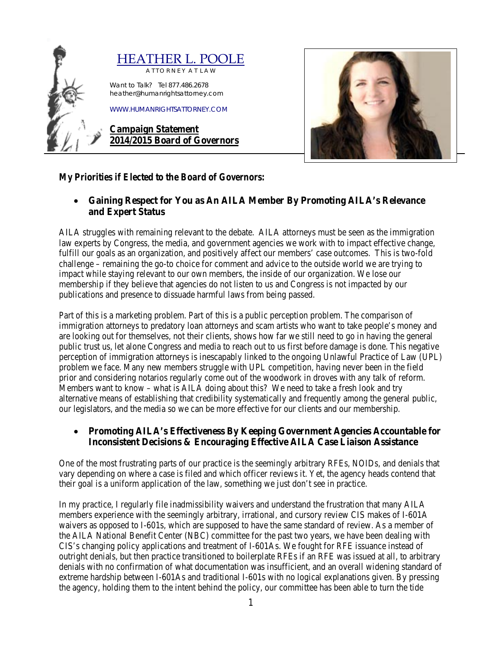



# *My Priorities if Elected to the Board of Governors:*

• **Gaining Respect for You as An AILA Member By Promoting AILA's Relevance and Expert Status** 

AILA struggles with remaining relevant to the debate. AILA attorneys must be seen as the immigration law experts by Congress, the media, and government agencies we work with to impact effective change, fulfill our goals as an organization, and positively affect our members' case outcomes. This is two-fold challenge – remaining the go-to choice for comment and advice to the outside world we are trying to impact while staying relevant to our own members, the inside of our organization. We lose our membership if they believe that agencies do not listen to us and Congress is not impacted by our publications and presence to dissuade harmful laws from being passed.

Part of this is a marketing problem. Part of this is a public perception problem. The comparison of immigration attorneys to predatory loan attorneys and scam artists who want to take people's money and are looking out for themselves, not their clients, shows how far we still need to go in having the general public trust us, let alone Congress and media to reach out to us first before damage is done. This negative perception of immigration attorneys is inescapably linked to the ongoing Unlawful Practice of Law (UPL) problem we face. Many new members struggle with UPL competition, having never been in the field prior and considering notarios regularly come out of the woodwork in droves with any talk of reform. Members want to know – what is AILA doing about this? We need to take a fresh look and try alternative means of establishing that credibility systematically and frequently among the general public, our legislators, and the media so we can be more effective for our clients and our membership.

## • **Promoting AILA's Effectiveness By Keeping Government Agencies Accountable for Inconsistent Decisions & Encouraging Effective AILA Case Liaison Assistance**

One of the most frustrating parts of our practice is the seemingly arbitrary RFEs, NOIDs, and denials that vary depending on where a case is filed and which officer reviews it. Yet, the agency heads contend that their goal is a uniform application of the law, something we just don't see in practice.

In my practice, I regularly file inadmissibility waivers and understand the frustration that many AILA members experience with the seemingly arbitrary, irrational, and cursory review CIS makes of I-601A waivers as opposed to I-601s, which are supposed to have the same standard of review. As a member of the AILA National Benefit Center (NBC) committee for the past two years, we have been dealing with CIS's changing policy applications and treatment of I-601As. We fought for RFE issuance instead of outright denials, but then practice transitioned to boilerplate RFEs if an RFE was issued at all, to arbitrary denials with no confirmation of what documentation was insufficient, and an overall widening standard of extreme hardship between I-601As and traditional I-601s with no logical explanations given. By pressing the agency, holding them to the intent behind the policy, our committee has been able to turn the tide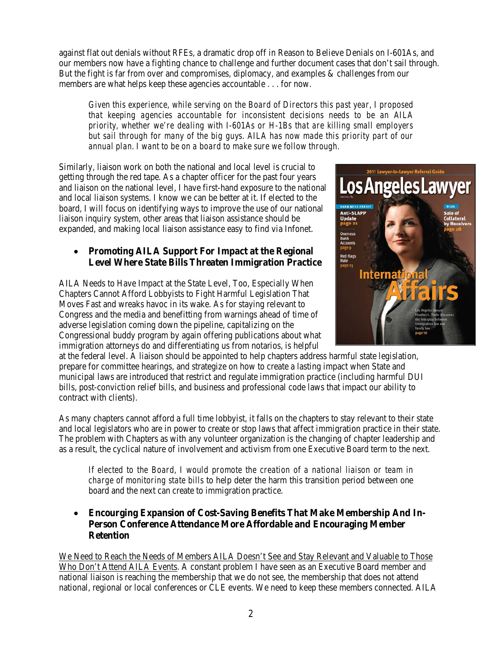against flat out denials without RFEs, a dramatic drop off in Reason to Believe Denials on I-601As, and our members now have a fighting chance to challenge and further document cases that don't sail through. But the fight is far from over and compromises, diplomacy, and examples & challenges from our members are what helps keep these agencies accountable . . . for now.

*Given this experience, while serving on the Board of Directors this past year, I proposed that keeping agencies accountable for inconsistent decisions needs to be an AILA priority, whether we're dealing with I-601As or H-1Bs that are killing small employers but sail through for many of the big guys. AILA has now made this priority part of our annual plan. I want to be on a board to make sure we follow through.* 

Similarly, liaison work on both the national and local level is crucial to getting through the red tape. As a chapter officer for the past four years and liaison on the national level, I have first-hand exposure to the national and local liaison systems. I know we can be better at it. If elected to the board, I will focus on identifying ways to improve the use of our national liaison inquiry system, other areas that liaison assistance should be expanded, and making local liaison assistance easy to find via Infonet.

## • **Promoting AILA Support For Impact at the Regional Level Where State Bills Threaten Immigration Practice**

AILA Needs to Have Impact at the State Level, Too, Especially When Chapters Cannot Afford Lobbyists to Fight Harmful Legislation That Moves Fast and wreaks havoc in its wake. As for staying relevant to Congress and the media and benefitting from warnings ahead of time of adverse legislation coming down the pipeline, capitalizing on the Congressional buddy program by again offering publications about what immigration attorneys do and differentiating us from notarios, is helpful



at the federal level. A liaison should be appointed to help chapters address harmful state legislation, prepare for committee hearings, and strategize on how to create a lasting impact when State and municipal laws are introduced that restrict and regulate immigration practice (including harmful DUI bills, post-conviction relief bills, and business and professional code laws that impact our ability to contract with clients).

As many chapters cannot afford a full time lobbyist, it falls on the chapters to stay relevant to their state and local legislators who are in power to create or stop laws that affect immigration practice in their state. The problem with Chapters as with any volunteer organization is the changing of chapter leadership and as a result, the cyclical nature of involvement and activism from one Executive Board term to the next.

*If elected to the Board, I would promote the creation of a national liaison or team in charge of monitoring state bills* to help deter the harm this transition period between one board and the next can create to immigration practice.

• **Encourging Expansion of Cost-Saving Benefits That Make Membership And In-Person Conference Attendance More Affordable and Encouraging Member Retention**

We Need to Reach the Needs of Members AILA Doesn't See and Stay Relevant and Valuable to Those Who Don't Attend AILA Events. A constant problem I have seen as an Executive Board member and national liaison is reaching the membership that we do not see, the membership that does not attend national, regional or local conferences or CLE events. We need to keep these members connected. AILA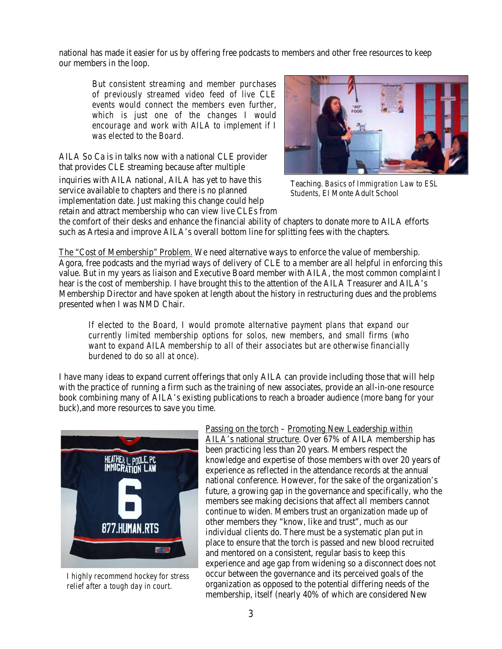national has made it easier for us by offering free podcasts to members and other free resources to keep our members in the loop.

But *consistent streaming and member purchases of previously streamed video feed of live CLE events would connect the members even further, which is just one of the changes I would encourage and work with AILA to implement if I was elected to the Board.*

AILA So Ca is in talks now with a national CLE provider that provides CLE streaming because after multiple

inquiries with AILA national, AILA has yet to have this service available to chapters and there is no planned implementation date. Just making this change could help retain and attract membership who can view live CLEs from



Teaching. *Basics of Immigration Law to ESL Students,* El Monte Adult School

the comfort of their desks and enhance the financial ability of chapters to donate more to AILA efforts such as Artesia and improve AILA's overall bottom line for splitting fees with the chapters.

The "Cost of Membership" Problem. We need alternative ways to enforce the value of membership. Agora, free podcasts and the myriad ways of delivery of CLE to a member are all helpful in enforcing this value. But in my years as liaison and Executive Board member with AILA, the most common complaint I hear is the cost of membership. I have brought this to the attention of the AILA Treasurer and AILA's Membership Director and have spoken at length about the history in restructuring dues and the problems presented when I was NMD Chair.

*If elected to the Board, I would promote alternative payment plans that expand our currently limited membership options for solos, new members, and small firms (who want to expand AILA membership to all of their associates but are otherwise financially burdened to do so all at once).* 

I have many ideas to expand current offerings that only AILA can provide including those that will help with the practice of running a firm such as the training of new associates, provide an all-in-one resource book combining many of AILA's existing publications to reach a broader audience (more bang for your buck),and more resources to save you time.



*I highly recommend hockey for stress relief after a tough day in court.*

Passing on the torch – Promoting New Leadership within AILA's national structure. Over 67% of AILA membership has been practicing less than 20 years. Members respect the knowledge and expertise of those members with over 20 years of experience as reflected in the attendance records at the annual national conference. However, for the sake of the organization's future, a growing gap in the governance and specifically, who the members see making decisions that affect all members cannot continue to widen. Members trust an organization made up of other members they "know, like and trust", much as our individual clients do. There must be a systematic plan put in place to ensure that the torch is passed and new blood recruited and mentored on a consistent, regular basis to keep this experience and age gap from widening so a disconnect does not occur between the governance and its perceived goals of the organization as opposed to the potential differing needs of the membership, itself (nearly 40% of which are considered New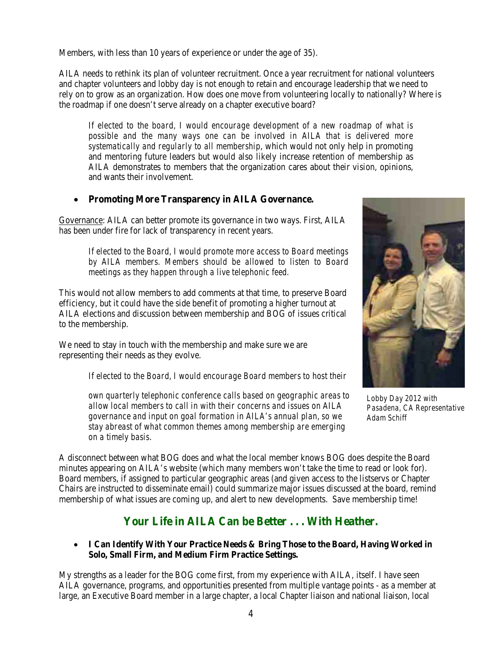Members, with less than 10 years of experience or under the age of 35).

AILA needs to rethink its plan of volunteer recruitment. Once a year recruitment for national volunteers and chapter volunteers and lobby day is not enough to retain and encourage leadership that we need to rely on to grow as an organization. How does one move from volunteering locally to nationally? Where is the roadmap if one doesn't serve already on a chapter executive board?

*If elected to the board, I would encourage development of a new roadmap of what is*  possible and the many ways one can be involved in AILA that is delivered more *systematically and regularly to all membership*, which would not only help in promoting and mentoring future leaders but would also likely increase retention of membership as AILA demonstrates to members that the organization cares about their vision, opinions, and wants their involvement.

## • **Promoting More Transparency in AILA Governance.**

Governance: AILA can better promote its governance in two ways. First, AILA has been under fire for lack of transparency in recent years.

*If elected to the Board, I would promote more access to Board meetings by AILA members. Members should be allowed to listen to Board meetings as they happen through a live telephonic feed.* 

This would not allow members to add comments at that time, to preserve Board efficiency, but it could have the side benefit of promoting a higher turnout at AILA elections and discussion between membership and BOG of issues critical to the membership.

We need to stay in touch with the membership and make sure we are representing their needs as they evolve.

*If elected to the Board, I would encourage Board members to host their* 

*own quarterly telephonic conference calls based on geographic areas to allow local members to call in with their concerns and issues on AILA governance and input on goal formation in AILA's annual plan, so we stay abreast of what common themes among membership are emerging on a timely basis*.



*Lobby Day 2012 with Pasadena, CA Representative Adam Schiff*

A disconnect between what BOG does and what the local member knows BOG does despite the Board minutes appearing on AILA's website (which many members won't take the time to read or look for). Board members, if assigned to particular geographic areas (and given access to the listservs or Chapter Chairs are instructed to disseminate email) could summarize major issues discussed at the board, remind membership of what issues are coming up, and alert to new developments. Save membership time!

# **Your Life in AILA Can be Better . . . With Heather***.*

• **I Can Identify With Your Practice Needs & Bring Those to the Board, Having Worked in Solo, Small Firm, and Medium Firm Practice Settings.**

My strengths as a leader for the BOG come first, from my experience with AILA, itself. I have seen AILA governance, programs, and opportunities presented from multiple vantage points - as a member at large, an Executive Board member in a large chapter, a local Chapter liaison and national liaison, local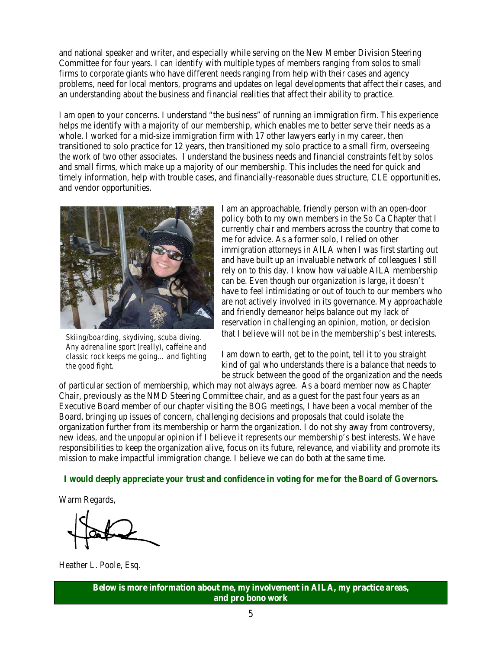and national speaker and writer, and especially while serving on the New Member Division Steering Committee for four years. I can identify with multiple types of members ranging from solos to small firms to corporate giants who have different needs ranging from help with their cases and agency problems, need for local mentors, programs and updates on legal developments that affect their cases, and an understanding about the business and financial realities that affect their ability to practice.

I am open to your concerns. I understand "the business" of running an immigration firm. This experience helps me identify with a majority of our membership, which enables me to better serve their needs as a whole. I worked for a mid-size immigration firm with 17 other lawyers early in my career, then transitioned to solo practice for 12 years, then transitioned my solo practice to a small firm, overseeing the work of two other associates. I understand the business needs and financial constraints felt by solos and small firms, which make up a majority of our membership. This includes the need for quick and timely information, help with trouble cases, and financially-reasonable dues structure, CLE opportunities, and vendor opportunities.



*Skiing/boarding, skydiving, scuba diving. Any adrenaline sport (really), caffeine and classic rock keeps me going… and fighting the good fight.*

I am an approachable, friendly person with an open-door policy both to my own members in the So Ca Chapter that I currently chair and members across the country that come to me for advice. As a former solo, I relied on other immigration attorneys in AILA when I was first starting out and have built up an invaluable network of colleagues I still rely on to this day. I know how valuable AILA membership can be. Even though our organization is large, it doesn't have to feel intimidating or out of touch to our members who are not actively involved in its governance. My approachable and friendly demeanor helps balance out my lack of reservation in challenging an opinion, motion, or decision that I believe will not be in the membership's best interests.

I am down to earth, get to the point, tell it to you straight kind of gal who understands there is a balance that needs to be struck between the good of the organization and the needs

of particular section of membership, which may not always agree. As a board member now as Chapter Chair, previously as the NMD Steering Committee chair, and as a guest for the past four years as an Executive Board member of our chapter visiting the BOG meetings, I have been a vocal member of the Board, bringing up issues of concern, challenging decisions and proposals that could isolate the organization further from its membership or harm the organization. I do not shy away from controversy, new ideas, and the unpopular opinion if I believe it represents our membership's best interests. We have responsibilities to keep the organization alive, focus on its future, relevance, and viability and promote its mission to make impactful immigration change. I believe we can do both at the same time.

#### **I would deeply appreciate your trust and confidence in voting for me for the Board of Governors.**

Warm Regards,

Heather L. Poole, Esq.

**Below is more information about me, my involvement in AILA, my practice areas, and pro bono work**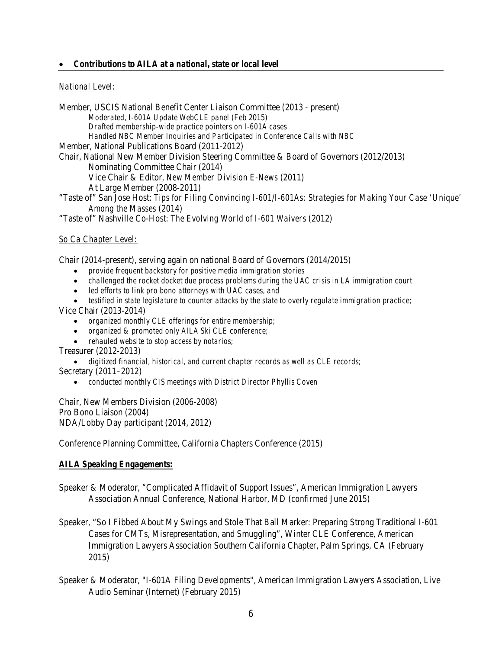#### • *Contributions to AILA at a national, state or local level*

#### *National Level:*

Member, USCIS National Benefit Center Liaison Committee (2013 - present) *Moderated, I-601A Update WebCLE panel* (Feb 2015) *Drafted membership-wide practice pointers on I-601A cases Handled NBC Member Inquiries and Participated in Conference Calls with NBC* Member, National Publications Board (2011-2012) Chair, National New Member Division Steering Committee & Board of Governors (2012/2013) Nominating Committee Chair (2014) Vice Chair & Editor, *New Member Division E-News* (2011) At Large Member (2008-2011) "Taste of" San Jose Host: *Tips for Filing Convincing I-601/I-601As: Strategies for Making Your Case 'Unique' Among the Masses* (2014) "Taste of" Nashville Co-Host: *The Evolving World of I-601 Waivers* (2012)

#### *So Ca Chapter Level:*

Chair (2014-present), serving again on national Board of Governors (2014/2015)

- *provide frequent backstory for positive media immigration stories*
- *challenged the rocket docket due process problems during the UAC crisis in LA immigration court*
- *led efforts to link pro bono attorneys with UAC cases, and*
- *testified in state legislature to counter attacks by the state to overly regulate immigration practice;* Vice Chair (2013-2014)
	- *organized monthly CLE offerings for entire membership;*
	- *organized & promoted only AILA Ski CLE conference;*
	- *rehauled website to stop access by notarios;*

Treasurer (2012-2013)

• *digitized financial, historical, and current chapter records as well as CLE records;* Secretary (2011–2012)

• *conducted monthly CIS meetings with District Director Phyllis Coven*

Chair, New Members Division (2006-2008) Pro Bono Liaison (2004) NDA/Lobby Day participant (2014, 2012)

Conference Planning Committee, California Chapters Conference (2015)

#### *AILA Speaking Engagements***:**

Speaker & Moderator, "Complicated Affidavit of Support Issues", American Immigration Lawyers Association Annual Conference, National Harbor, MD (*confirmed* June 2015)

- Speaker, "So I Fibbed About My Swings and Stole That Ball Marker: Preparing Strong Traditional I-601 Cases for CMTs, Misrepresentation, and Smuggling", Winter CLE Conference, American Immigration Lawyers Association Southern California Chapter, Palm Springs, CA (February 2015)
- Speaker & Moderator, "I-601A Filing Developments", American Immigration Lawyers Association, Live Audio Seminar (Internet) (February 2015)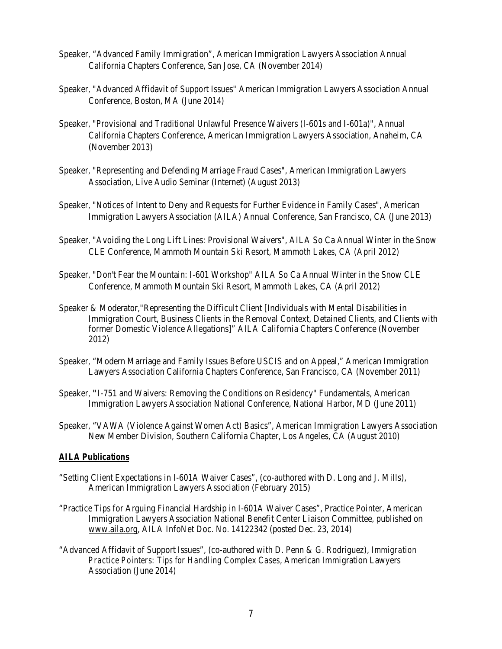- Speaker, "Advanced Family Immigration", American Immigration Lawyers Association Annual California Chapters Conference, San Jose, CA (November 2014)
- Speaker, "Advanced Affidavit of Support Issues" American Immigration Lawyers Association Annual Conference, Boston, MA (June 2014)
- Speaker, "Provisional and Traditional Unlawful Presence Waivers (I-601s and I-601a)", Annual California Chapters Conference, American Immigration Lawyers Association, Anaheim, CA (November 2013)
- Speaker, "Representing and Defending Marriage Fraud Cases", American Immigration Lawyers Association, Live Audio Seminar (Internet) (August 2013)
- Speaker, "Notices of Intent to Deny and Requests for Further Evidence in Family Cases", American Immigration Lawyers Association (AILA) Annual Conference, San Francisco, CA (June 2013)
- Speaker, "Avoiding the Long Lift Lines: Provisional Waivers", AILA So Ca Annual Winter in the Snow CLE Conference, Mammoth Mountain Ski Resort, Mammoth Lakes, CA (April 2012)
- Speaker, "Don't Fear the Mountain: I-601 Workshop" AILA So Ca Annual Winter in the Snow CLE Conference, Mammoth Mountain Ski Resort, Mammoth Lakes, CA (April 2012)
- Speaker & Moderator,"Representing the Difficult Client [Individuals with Mental Disabilities in Immigration Court, Business Clients in the Removal Context, Detained Clients, and Clients with former Domestic Violence Allegations]" AILA California Chapters Conference (November 2012)
- Speaker, "Modern Marriage and Family Issues Before USCIS and on Appeal," [American Immigration](http://aila.com/)  [Lawyers Association California Chapters Conference,](http://aila.com/) San Francisco, CA (November 2011)
- Speaker, **"**I-751 and Waivers: Removing the Conditions on Residency" Fundamentals, [American](http://aila.com/)  [Immigration Lawyers Association National Conference,](http://aila.com/) National Harbor, MD (June 2011)
- Speaker, "VAWA (Violence Against Women Act) Basics", American Immigration Lawyers Association New Member Division, Southern California Chapter, Los Angeles, CA (August 2010)

#### *AILA Publications*

- "Setting Client Expectations in I-601A Waiver Cases", (co-authored with D. Long and J. Mills), American Immigration Lawyers Association (February 2015)
- "Practice Tips for Arguing Financial Hardship in I-601A Waiver Cases", Practice Pointer, American Immigration Lawyers Association National Benefit Center Liaison Committee, published on [www.aila.org,](http://www.aila.org/) AILA InfoNet Doc. No. 14122342 (posted Dec. 23, 2014)
- "Advanced Affidavit of Support Issues", (co-authored with D. Penn & G. Rodriguez), *Immigration Practice Pointers: Tips for Handling Complex Cases*, American Immigration Lawyers Association (June 2014)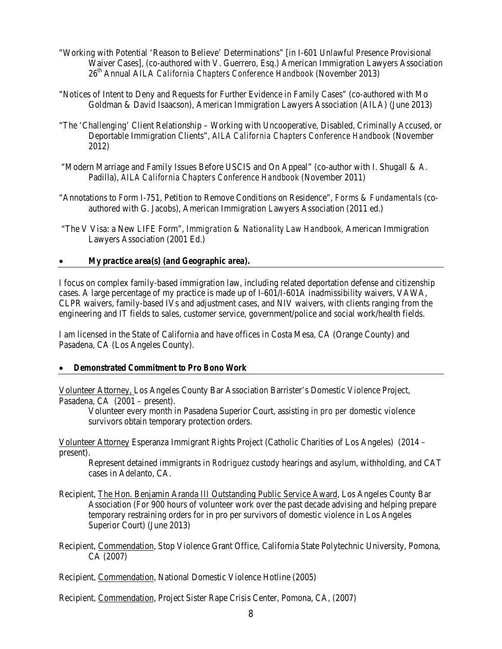- "Working with Potential 'Reason to Believe' Determinations" [in I-601 Unlawful Presence Provisional Waiver Cases], (co-authored with V. Guerrero, Esq.) American Immigration Lawyers Association 26<sup>th</sup> Annual AILA *California Chapters Conference Handbook* (November 2013)
- "Notices of Intent to Deny and Requests for Further Evidence in Family Cases" (co-authored with Mo Goldman & David Isaacson), American Immigration Lawyers Association (AILA) (June 2013)
- "The 'Challenging' Client Relationship Working with Uncooperative, Disabled, Criminally Accused, or Deportable Immigration Clients", *AILA California Chapters Conference Handboo*k (November 2012)
- "Modern Marriage and Family Issues Before USCIS and On Appeal" (co-author with I. Shugall & A. Padilla), *AILA California Chapters Conference Handbook* (November 2011)
- "Annotations to Form I-751, Petition to Remove Conditions on Residence", *Forms & Fundamentals* (coauthored with G. Jacobs), American Immigration Lawyers Association (2011 ed.)
- "The V Visa: a New LIFE Form", *Immigration & Nationality Law Handbook,* American Immigration Lawyers Association (2001 Ed.)

#### • *My practice area(s) (and Geographic area).*

I focus on complex family-based immigration law, including related deportation defense and citizenship cases. A large percentage of my practice is made up of I-601/I-601A inadmissibility waivers, VAWA, CLPR waivers, family-based IVs and adjustment cases, and NIV waivers, with clients ranging from the engineering and IT fields to sales, customer service, government/police and social work/health fields.

I am licensed in the State of California and have offices in Costa Mesa, CA (Orange County) and Pasadena, CA (Los Angeles County).

#### • *Demonstrated Commitment to Pro Bono Work*

Volunteer Attorney, Los Angeles County Bar Association Barrister's Domestic Violence Project, Pasadena, CA (2001 – present).

Volunteer every month in Pasadena Superior Court, assisting *in pro per* domestic violence survivors obtain temporary protection orders.

Volunteer Attorney Esperanza Immigrant Rights Project (Catholic Charities of Los Angeles) (2014 – present).

Represent detained immigrants in *Rodriguez* custody hearings and asylum, withholding, and CAT cases in Adelanto, CA.

- Recipient, The Hon. Benjamin Aranda III Outstanding Public Service Award, Los Angeles County Bar Association (For 900 hours of volunteer work over the past decade advising and helping prepare temporary restraining orders for in pro per survivors of domestic violence in Los Angeles Superior Court) (June 2013)
- Recipient, Commendation, Stop Violence Grant Office, California State Polytechnic University, Pomona, CA (2007)

Recipient, Commendation, National Domestic Violence Hotline (2005)

Recipient, Commendation, Project Sister Rape Crisis Center, Pomona, CA, (2007)